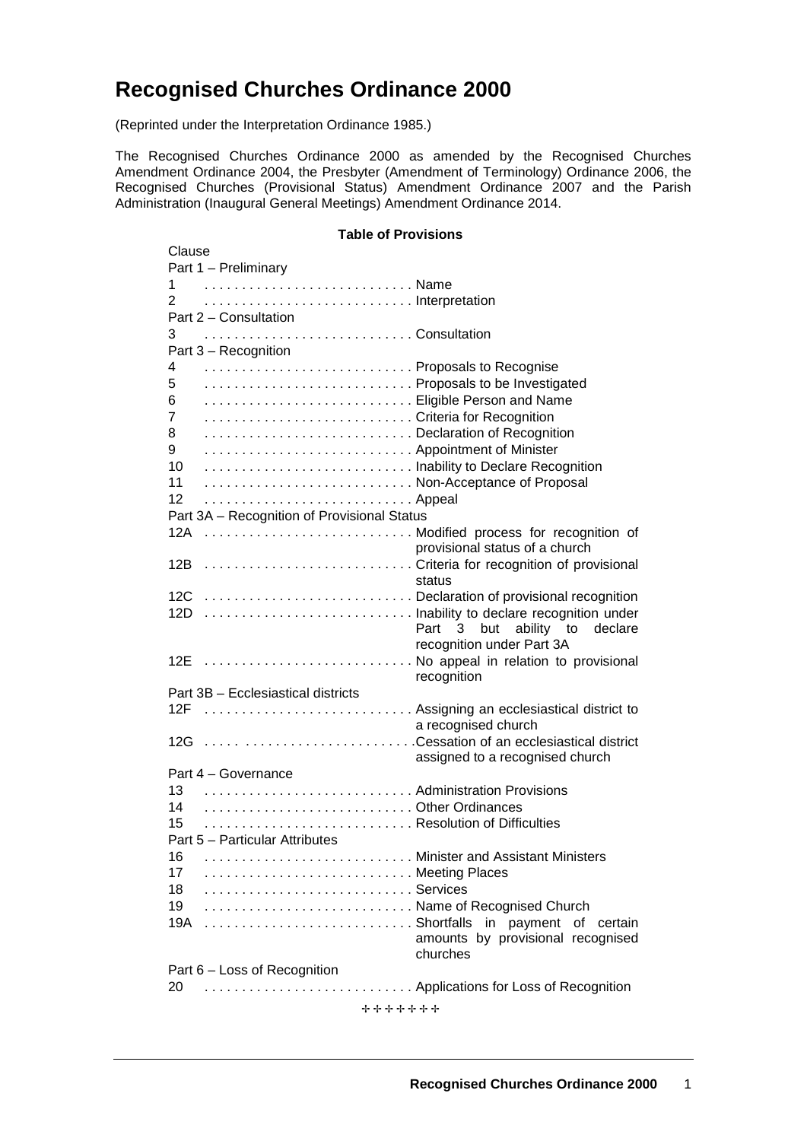# **Recognised Churches Ordinance 2000**

(Reprinted under the Interpretation Ordinance 1985.)

The Recognised Churches Ordinance 2000 as amended by the Recognised Churches Amendment Ordinance 2004, the Presbyter (Amendment of Terminology) Ordinance 2006, the Recognised Churches (Provisional Status) Amendment Ordinance 2007 and the Parish Administration (Inaugural General Meetings) Amendment Ordinance 2014.

#### **Table of Provisions**

| Clause                                       |                                   |
|----------------------------------------------|-----------------------------------|
| Part 1 - Preliminary                         |                                   |
|                                              |                                   |
| 2<br>Interpretation                          |                                   |
| Part 2 - Consultation                        |                                   |
| 3                                            |                                   |
| Part 3 - Recognition                         |                                   |
| Proposals to Recognise                       |                                   |
| 4                                            |                                   |
| Proposals to be Investigated<br>5            |                                   |
| Eligible Person and Name<br>6                |                                   |
| Criteria for Recognition<br>7                |                                   |
| Declaration of Recognition<br>8              |                                   |
| Appointment of Minister<br>9                 |                                   |
| 10<br>Inability to Declare Recognition       |                                   |
| Non-Acceptance of Proposal<br>11             |                                   |
| 12                                           |                                   |
| Part 3A - Recognition of Provisional Status  |                                   |
|                                              |                                   |
| 12A  Modified process for recognition of     |                                   |
|                                              | provisional status of a church    |
| 12B  Criteria for recognition of provisional |                                   |
|                                              | status                            |
|                                              |                                   |
| 12D  Inability to declare recognition under  |                                   |
|                                              | Part 3 but ability to<br>declare  |
|                                              | recognition under Part 3A         |
| 12E  No appeal in relation to provisional    |                                   |
|                                              | recognition                       |
| Part 3B - Ecclesiastical districts           |                                   |
| 12F  Assigning an ecclesiastical district to |                                   |
|                                              | a recognised church               |
| 12G  Cessation of an ecclesiastical district |                                   |
|                                              |                                   |
|                                              | assigned to a recognised church   |
| Part 4 - Governance                          |                                   |
| Administration Provisions<br>13              |                                   |
| Other Ordinances<br>14                       |                                   |
| Resolution of Difficulties<br>15             |                                   |
| Part 5 - Particular Attributes               |                                   |
| Minister and Assistant Ministers<br>16       |                                   |
| 17                                           |                                   |
| 18                                           |                                   |
| 19<br>Name of Recognised Church              |                                   |
| 19A                                          | in payment of certain             |
|                                              | amounts by provisional recognised |
|                                              |                                   |
|                                              | churches                          |
| Part 6 - Loss of Recognition                 |                                   |
| 20                                           |                                   |
| +++++++                                      |                                   |
|                                              |                                   |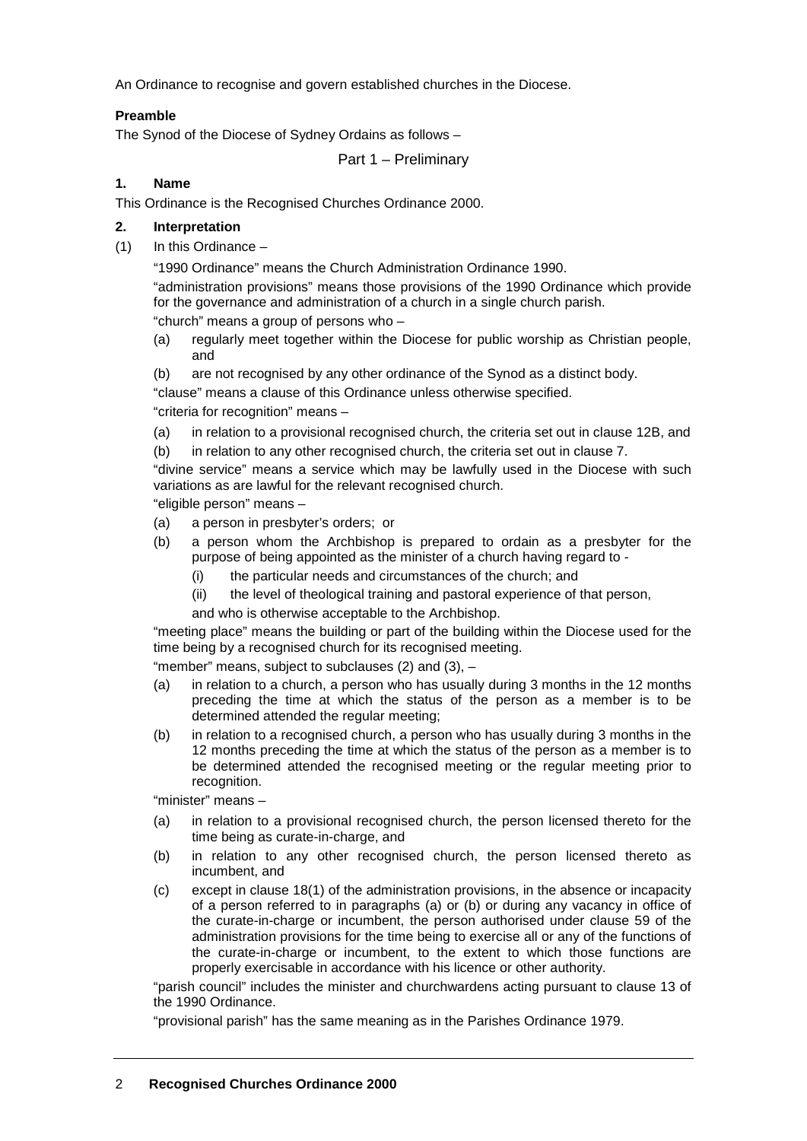An Ordinance to recognise and govern established churches in the Diocese.

## **Preamble**

The Synod of the Diocese of Sydney Ordains as follows –

Part 1 – Preliminary

## **1. Name**

This Ordinance is the Recognised Churches Ordinance 2000.

## **2. Interpretation**

(1) In this Ordinance –

"1990 Ordinance" means the Church Administration Ordinance 1990.

"administration provisions" means those provisions of the 1990 Ordinance which provide for the governance and administration of a church in a single church parish. "church" means a group of persons who –

- (a) regularly meet together within the Diocese for public worship as Christian people, and
- (b) are not recognised by any other ordinance of the Synod as a distinct body.

"clause" means a clause of this Ordinance unless otherwise specified.

"criteria for recognition" means –

(a) in relation to a provisional recognised church, the criteria set out in clause 12B, and

(b) in relation to any other recognised church, the criteria set out in clause 7.

"divine service" means a service which may be lawfully used in the Diocese with such variations as are lawful for the relevant recognised church.

"eligible person" means –

- (a) a person in presbyter's orders; or
- (b) a person whom the Archbishop is prepared to ordain as a presbyter for the purpose of being appointed as the minister of a church having regard to -
	- (i) the particular needs and circumstances of the church; and
	- (ii) the level of theological training and pastoral experience of that person,
	- and who is otherwise acceptable to the Archbishop.

"meeting place" means the building or part of the building within the Diocese used for the time being by a recognised church for its recognised meeting.

"member" means, subject to subclauses (2) and (3), –

- (a) in relation to a church, a person who has usually during 3 months in the 12 months preceding the time at which the status of the person as a member is to be determined attended the regular meeting;
- (b) in relation to a recognised church, a person who has usually during 3 months in the 12 months preceding the time at which the status of the person as a member is to be determined attended the recognised meeting or the regular meeting prior to recognition.

"minister" means –

- (a) in relation to a provisional recognised church, the person licensed thereto for the time being as curate-in-charge, and
- (b) in relation to any other recognised church, the person licensed thereto as incumbent, and
- (c) except in clause 18(1) of the administration provisions, in the absence or incapacity of a person referred to in paragraphs (a) or (b) or during any vacancy in office of the curate-in-charge or incumbent, the person authorised under clause 59 of the administration provisions for the time being to exercise all or any of the functions of the curate-in-charge or incumbent, to the extent to which those functions are properly exercisable in accordance with his licence or other authority.

"parish council" includes the minister and churchwardens acting pursuant to clause 13 of the 1990 Ordinance.

"provisional parish" has the same meaning as in the Parishes Ordinance 1979.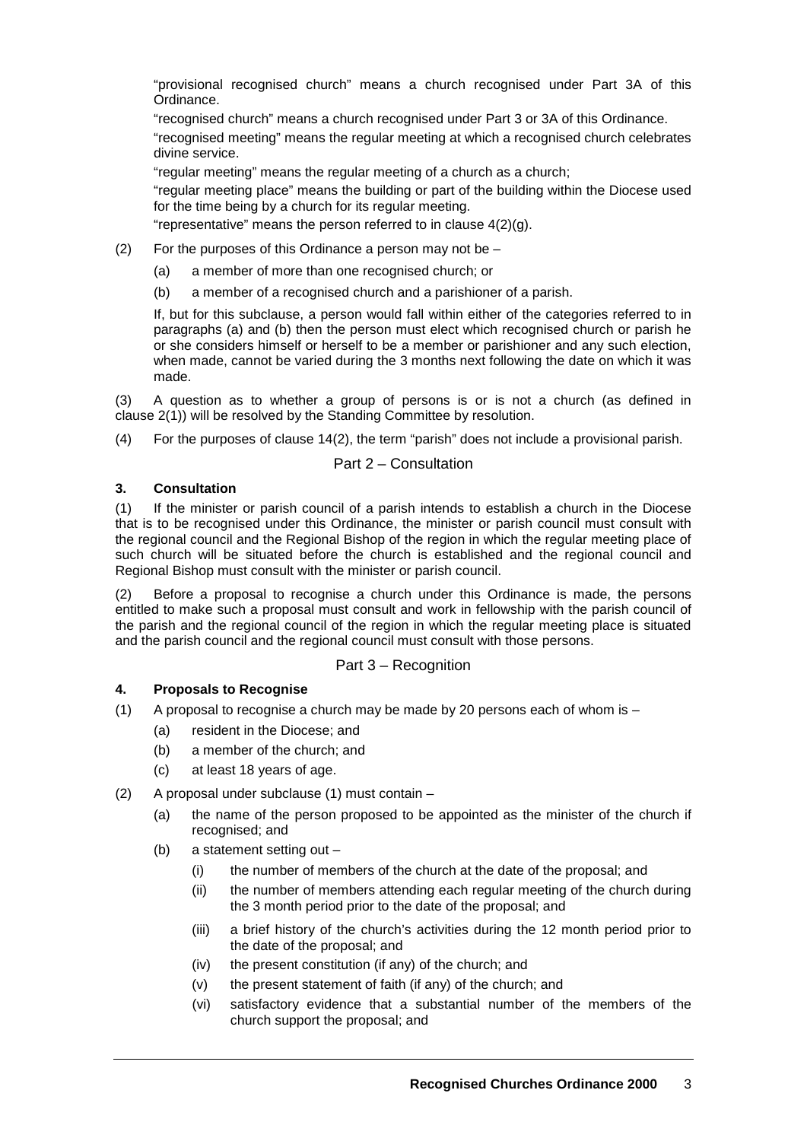"provisional recognised church" means a church recognised under Part 3A of this Ordinance.

"recognised church" means a church recognised under Part 3 or 3A of this Ordinance.

"recognised meeting" means the regular meeting at which a recognised church celebrates divine service.

"regular meeting" means the regular meeting of a church as a church;

"regular meeting place" means the building or part of the building within the Diocese used for the time being by a church for its regular meeting.

"representative" means the person referred to in clause 4(2)(g).

- (2) For the purposes of this Ordinance a person may not be  $-$ 
	- (a) a member of more than one recognised church; or
	- (b) a member of a recognised church and a parishioner of a parish.

If, but for this subclause, a person would fall within either of the categories referred to in paragraphs (a) and (b) then the person must elect which recognised church or parish he or she considers himself or herself to be a member or parishioner and any such election, when made, cannot be varied during the 3 months next following the date on which it was made.

(3) A question as to whether a group of persons is or is not a church (as defined in clause 2(1)) will be resolved by the Standing Committee by resolution.

(4) For the purposes of clause 14(2), the term "parish" does not include a provisional parish.

# Part 2 – Consultation

# **3. Consultation**

(1) If the minister or parish council of a parish intends to establish a church in the Diocese that is to be recognised under this Ordinance, the minister or parish council must consult with the regional council and the Regional Bishop of the region in which the regular meeting place of such church will be situated before the church is established and the regional council and Regional Bishop must consult with the minister or parish council.

(2) Before a proposal to recognise a church under this Ordinance is made, the persons entitled to make such a proposal must consult and work in fellowship with the parish council of the parish and the regional council of the region in which the regular meeting place is situated and the parish council and the regional council must consult with those persons.

# Part 3 – Recognition

# **4. Proposals to Recognise**

(1) A proposal to recognise a church may be made by 20 persons each of whom is  $-$ 

- (a) resident in the Diocese; and
- (b) a member of the church; and
- (c) at least 18 years of age.
- (2) A proposal under subclause (1) must contain
	- (a) the name of the person proposed to be appointed as the minister of the church if recognised; and
	- (b) a statement setting out
		- (i) the number of members of the church at the date of the proposal; and
		- (ii) the number of members attending each regular meeting of the church during the 3 month period prior to the date of the proposal; and
		- (iii) a brief history of the church's activities during the 12 month period prior to the date of the proposal; and
		- (iv) the present constitution (if any) of the church; and
		- (v) the present statement of faith (if any) of the church; and
		- (vi) satisfactory evidence that a substantial number of the members of the church support the proposal; and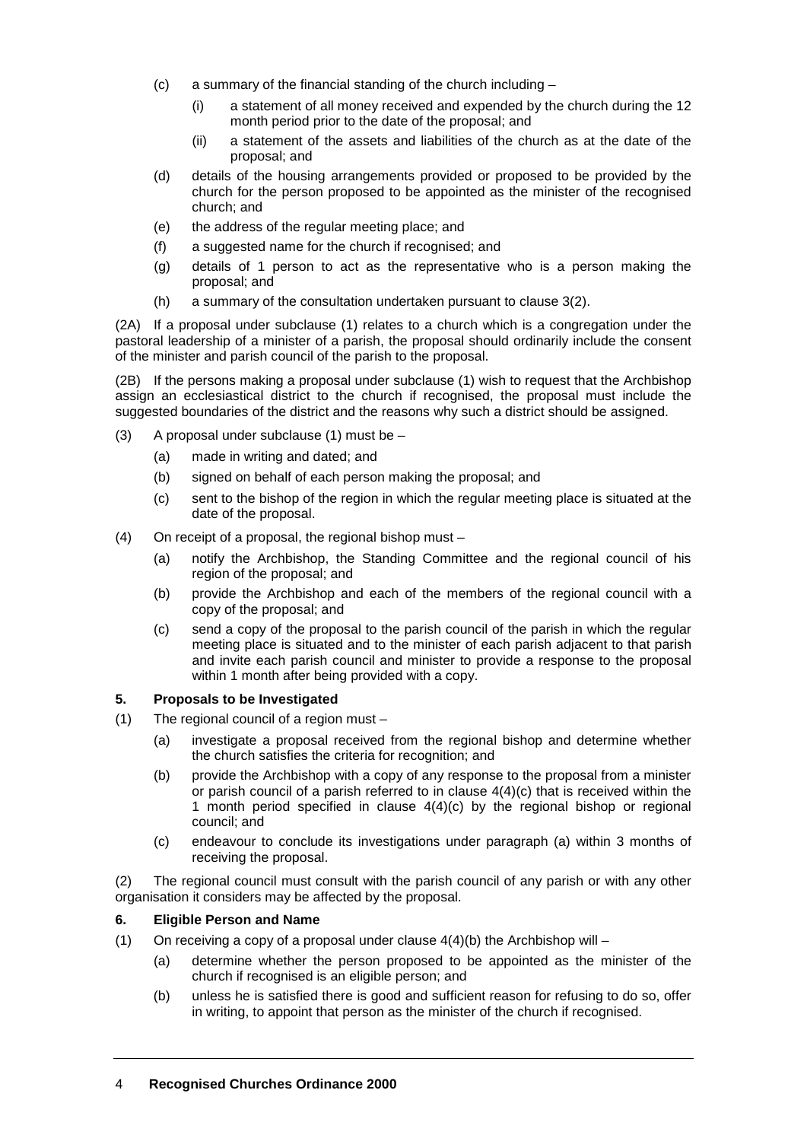- (c) a summary of the financial standing of the church including
	- (i) a statement of all money received and expended by the church during the 12 month period prior to the date of the proposal; and
	- (ii) a statement of the assets and liabilities of the church as at the date of the proposal; and
- (d) details of the housing arrangements provided or proposed to be provided by the church for the person proposed to be appointed as the minister of the recognised church; and
- (e) the address of the regular meeting place; and
- (f) a suggested name for the church if recognised; and
- (g) details of 1 person to act as the representative who is a person making the proposal; and
- (h) a summary of the consultation undertaken pursuant to clause 3(2).

(2A) If a proposal under subclause (1) relates to a church which is a congregation under the pastoral leadership of a minister of a parish, the proposal should ordinarily include the consent of the minister and parish council of the parish to the proposal.

(2B) If the persons making a proposal under subclause (1) wish to request that the Archbishop assign an ecclesiastical district to the church if recognised, the proposal must include the suggested boundaries of the district and the reasons why such a district should be assigned.

- (3) A proposal under subclause  $(1)$  must be
	- (a) made in writing and dated; and
	- (b) signed on behalf of each person making the proposal; and
	- (c) sent to the bishop of the region in which the regular meeting place is situated at the date of the proposal.
- (4) On receipt of a proposal, the regional bishop must
	- (a) notify the Archbishop, the Standing Committee and the regional council of his region of the proposal; and
	- (b) provide the Archbishop and each of the members of the regional council with a copy of the proposal; and
	- (c) send a copy of the proposal to the parish council of the parish in which the regular meeting place is situated and to the minister of each parish adjacent to that parish and invite each parish council and minister to provide a response to the proposal within 1 month after being provided with a copy.

## **5. Proposals to be Investigated**

- (1) The regional council of a region must
	- (a) investigate a proposal received from the regional bishop and determine whether the church satisfies the criteria for recognition; and
	- (b) provide the Archbishop with a copy of any response to the proposal from a minister or parish council of a parish referred to in clause 4(4)(c) that is received within the 1 month period specified in clause 4(4)(c) by the regional bishop or regional council; and
	- (c) endeavour to conclude its investigations under paragraph (a) within 3 months of receiving the proposal.

(2) The regional council must consult with the parish council of any parish or with any other organisation it considers may be affected by the proposal.

## **6. Eligible Person and Name**

- (1) On receiving a copy of a proposal under clause  $4(4)(b)$  the Archbishop will
	- (a) determine whether the person proposed to be appointed as the minister of the church if recognised is an eligible person; and
	- (b) unless he is satisfied there is good and sufficient reason for refusing to do so, offer in writing, to appoint that person as the minister of the church if recognised.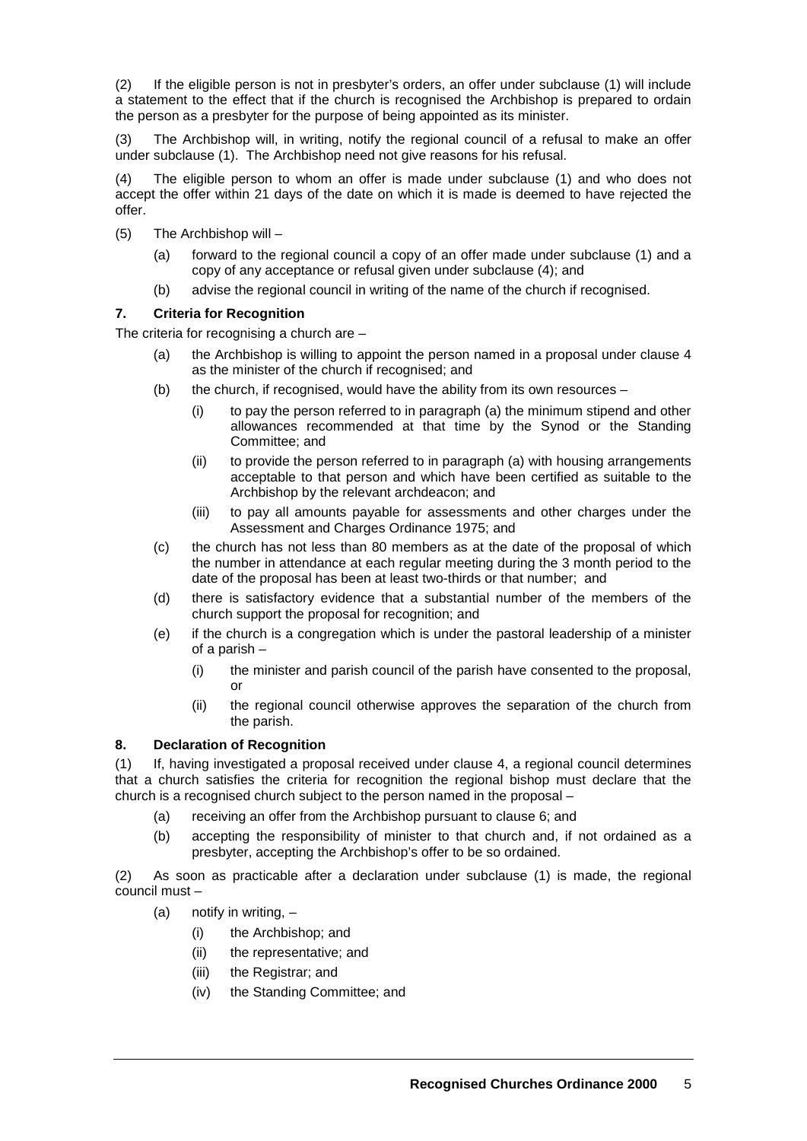(2) If the eligible person is not in presbyter's orders, an offer under subclause (1) will include a statement to the effect that if the church is recognised the Archbishop is prepared to ordain the person as a presbyter for the purpose of being appointed as its minister.

(3) The Archbishop will, in writing, notify the regional council of a refusal to make an offer under subclause (1). The Archbishop need not give reasons for his refusal.

(4) The eligible person to whom an offer is made under subclause (1) and who does not accept the offer within 21 days of the date on which it is made is deemed to have rejected the offer.

- (5) The Archbishop will
	- (a) forward to the regional council a copy of an offer made under subclause (1) and a copy of any acceptance or refusal given under subclause (4); and
	- (b) advise the regional council in writing of the name of the church if recognised.

# **7. Criteria for Recognition**

The criteria for recognising a church are –

- (a) the Archbishop is willing to appoint the person named in a proposal under clause 4 as the minister of the church if recognised; and
- (b) the church, if recognised, would have the ability from its own resources
	- (i) to pay the person referred to in paragraph (a) the minimum stipend and other allowances recommended at that time by the Synod or the Standing Committee; and
	- (ii) to provide the person referred to in paragraph (a) with housing arrangements acceptable to that person and which have been certified as suitable to the Archbishop by the relevant archdeacon; and
	- (iii) to pay all amounts payable for assessments and other charges under the Assessment and Charges Ordinance 1975; and
- (c) the church has not less than 80 members as at the date of the proposal of which the number in attendance at each regular meeting during the 3 month period to the date of the proposal has been at least two-thirds or that number; and
- (d) there is satisfactory evidence that a substantial number of the members of the church support the proposal for recognition; and
- (e) if the church is a congregation which is under the pastoral leadership of a minister of a parish –
	- (i) the minister and parish council of the parish have consented to the proposal, or
	- (ii) the regional council otherwise approves the separation of the church from the parish.

# **8. Declaration of Recognition**

(1) If, having investigated a proposal received under clause 4, a regional council determines that a church satisfies the criteria for recognition the regional bishop must declare that the church is a recognised church subject to the person named in the proposal –

- (a) receiving an offer from the Archbishop pursuant to clause 6; and
- (b) accepting the responsibility of minister to that church and, if not ordained as a presbyter, accepting the Archbishop's offer to be so ordained.

(2) As soon as practicable after a declaration under subclause (1) is made, the regional council must –

- (a) notify in writing,  $-$ 
	- (i) the Archbishop; and
	- (ii) the representative; and
	- (iii) the Registrar; and
	- (iv) the Standing Committee; and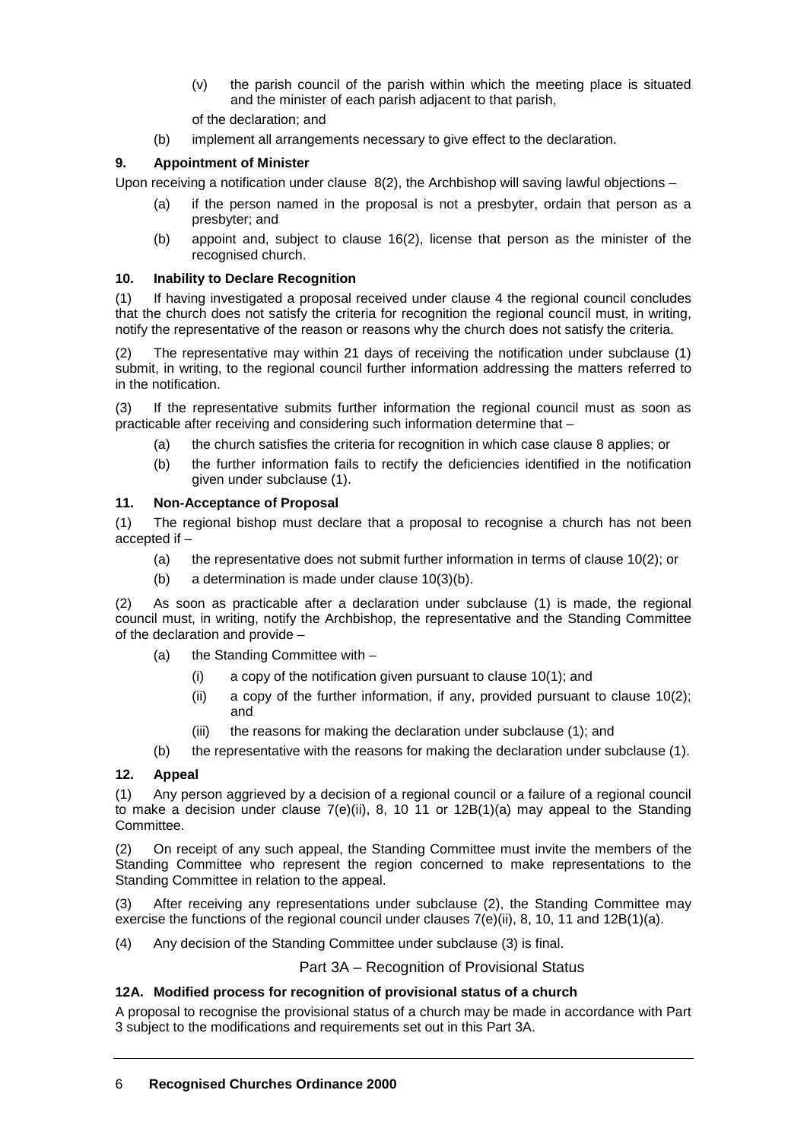- (v) the parish council of the parish within which the meeting place is situated and the minister of each parish adjacent to that parish,
- of the declaration; and
- (b) implement all arrangements necessary to give effect to the declaration.

# **9. Appointment of Minister**

Upon receiving a notification under clause  $8(2)$ , the Archbishop will saving lawful objections –

- (a) if the person named in the proposal is not a presbyter, ordain that person as a presbyter; and
- (b) appoint and, subject to clause 16(2), license that person as the minister of the recognised church.

## **10. Inability to Declare Recognition**

(1) If having investigated a proposal received under clause 4 the regional council concludes that the church does not satisfy the criteria for recognition the regional council must, in writing, notify the representative of the reason or reasons why the church does not satisfy the criteria.

(2) The representative may within 21 days of receiving the notification under subclause (1) submit, in writing, to the regional council further information addressing the matters referred to in the notification.

(3) If the representative submits further information the regional council must as soon as practicable after receiving and considering such information determine that –

- (a) the church satisfies the criteria for recognition in which case clause 8 applies; or
- (b) the further information fails to rectify the deficiencies identified in the notification given under subclause (1).

# **11. Non-Acceptance of Proposal**

(1) The regional bishop must declare that a proposal to recognise a church has not been accepted if –

- (a) the representative does not submit further information in terms of clause 10(2); or
- (b) a determination is made under clause 10(3)(b).

(2) As soon as practicable after a declaration under subclause (1) is made, the regional council must, in writing, notify the Archbishop, the representative and the Standing Committee of the declaration and provide –

- (a) the Standing Committee with
	- (i) a copy of the notification given pursuant to clause 10(1); and
	- (ii) a copy of the further information, if any, provided pursuant to clause 10(2); and
	- (iii) the reasons for making the declaration under subclause (1); and
- (b) the representative with the reasons for making the declaration under subclause (1).

# **12. Appeal**

(1) Any person aggrieved by a decision of a regional council or a failure of a regional council to make a decision under clause  $7(e)$ (ii), 8, 10 11 or  $12B(1)(a)$  may appeal to the Standing Committee.

(2) On receipt of any such appeal, the Standing Committee must invite the members of the Standing Committee who represent the region concerned to make representations to the Standing Committee in relation to the appeal.

(3) After receiving any representations under subclause (2), the Standing Committee may exercise the functions of the regional council under clauses  $7(e)(ii)$ , 8, 10, 11 and  $12B(1)(a)$ .

(4) Any decision of the Standing Committee under subclause (3) is final.

Part 3A – Recognition of Provisional Status

# **12A. Modified process for recognition of provisional status of a church**

A proposal to recognise the provisional status of a church may be made in accordance with Part 3 subject to the modifications and requirements set out in this Part 3A.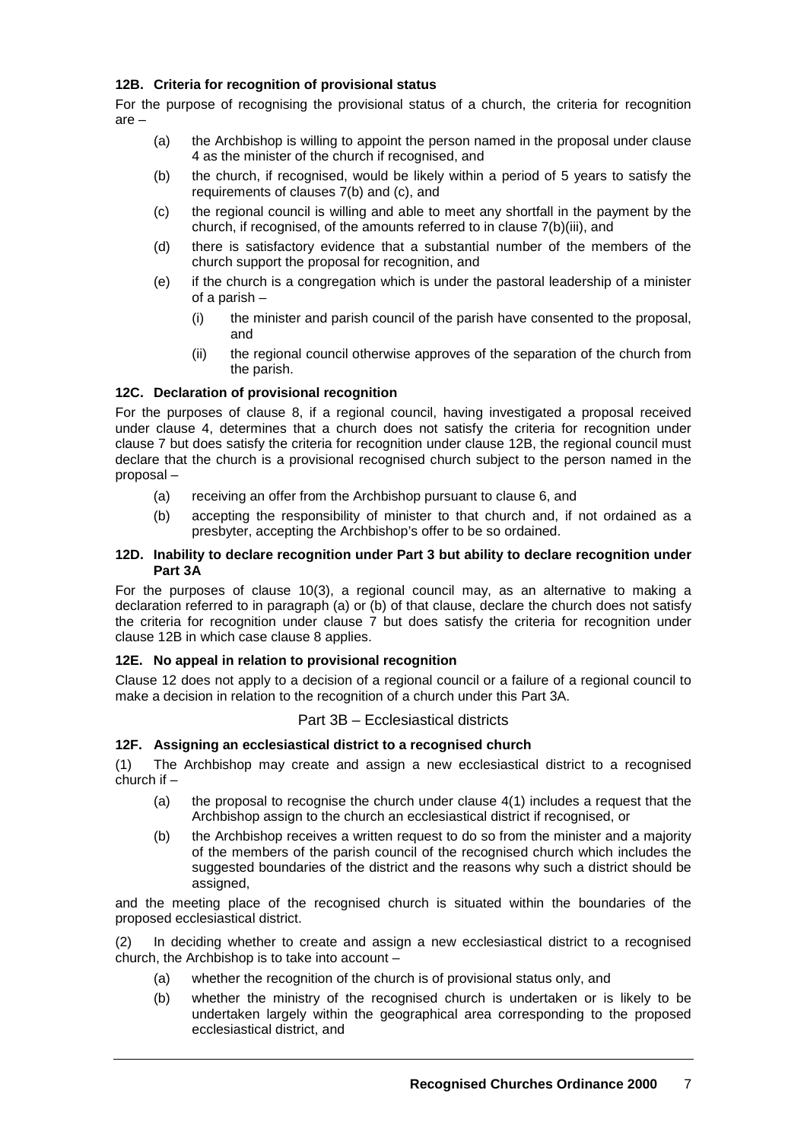## **12B. Criteria for recognition of provisional status**

For the purpose of recognising the provisional status of a church, the criteria for recognition are –

- (a) the Archbishop is willing to appoint the person named in the proposal under clause 4 as the minister of the church if recognised, and
- (b) the church, if recognised, would be likely within a period of 5 years to satisfy the requirements of clauses 7(b) and (c), and
- (c) the regional council is willing and able to meet any shortfall in the payment by the church, if recognised, of the amounts referred to in clause 7(b)(iii), and
- (d) there is satisfactory evidence that a substantial number of the members of the church support the proposal for recognition, and
- (e) if the church is a congregation which is under the pastoral leadership of a minister of a parish –
	- (i) the minister and parish council of the parish have consented to the proposal, and
	- (ii) the regional council otherwise approves of the separation of the church from the parish.

# **12C. Declaration of provisional recognition**

For the purposes of clause 8, if a regional council, having investigated a proposal received under clause 4, determines that a church does not satisfy the criteria for recognition under clause 7 but does satisfy the criteria for recognition under clause 12B, the regional council must declare that the church is a provisional recognised church subject to the person named in the proposal –

- (a) receiving an offer from the Archbishop pursuant to clause 6, and
- (b) accepting the responsibility of minister to that church and, if not ordained as a presbyter, accepting the Archbishop's offer to be so ordained.

#### **12D. Inability to declare recognition under Part 3 but ability to declare recognition under Part 3A**

For the purposes of clause 10(3), a regional council may, as an alternative to making a declaration referred to in paragraph (a) or (b) of that clause, declare the church does not satisfy the criteria for recognition under clause 7 but does satisfy the criteria for recognition under clause 12B in which case clause 8 applies.

## **12E. No appeal in relation to provisional recognition**

Clause 12 does not apply to a decision of a regional council or a failure of a regional council to make a decision in relation to the recognition of a church under this Part 3A.

## Part 3B – Ecclesiastical districts

## **12F. Assigning an ecclesiastical district to a recognised church**

(1) The Archbishop may create and assign a new ecclesiastical district to a recognised church if –

- (a) the proposal to recognise the church under clause  $4(1)$  includes a request that the Archbishop assign to the church an ecclesiastical district if recognised, or
- (b) the Archbishop receives a written request to do so from the minister and a majority of the members of the parish council of the recognised church which includes the suggested boundaries of the district and the reasons why such a district should be assigned,

and the meeting place of the recognised church is situated within the boundaries of the proposed ecclesiastical district.

(2) In deciding whether to create and assign a new ecclesiastical district to a recognised church, the Archbishop is to take into account –

- (a) whether the recognition of the church is of provisional status only, and
- (b) whether the ministry of the recognised church is undertaken or is likely to be undertaken largely within the geographical area corresponding to the proposed ecclesiastical district, and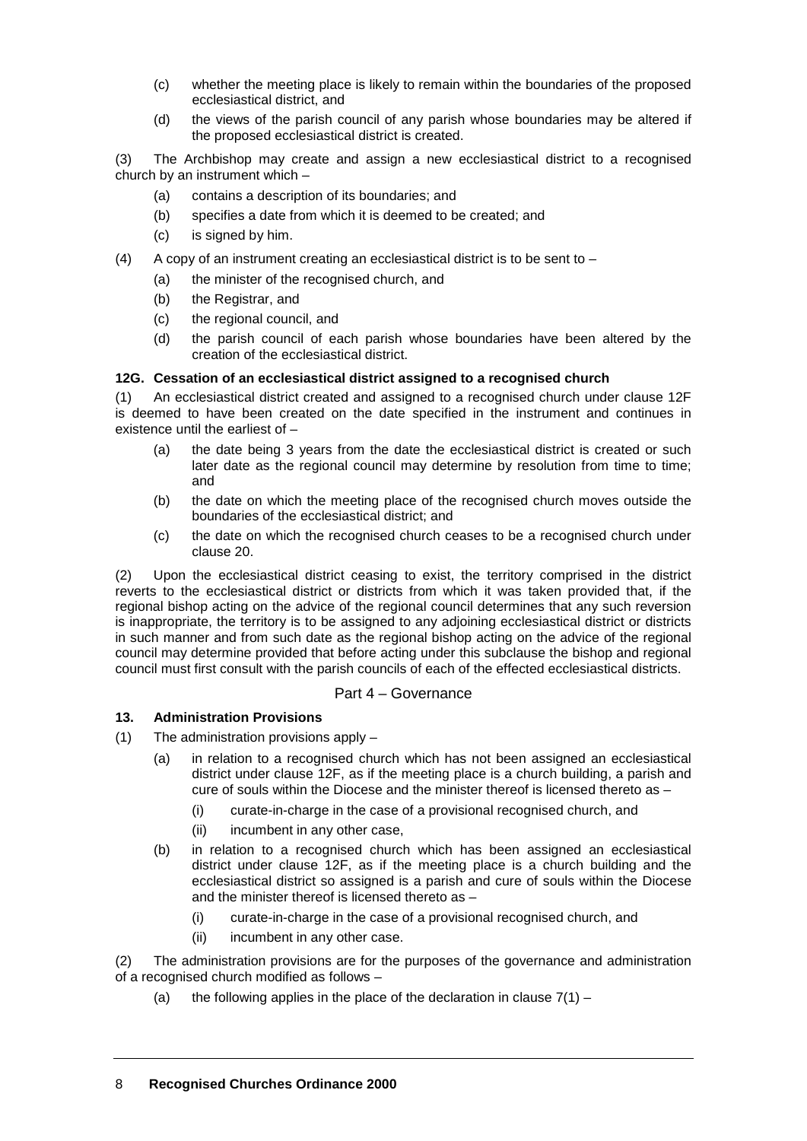- (c) whether the meeting place is likely to remain within the boundaries of the proposed ecclesiastical district, and
- (d) the views of the parish council of any parish whose boundaries may be altered if the proposed ecclesiastical district is created.

(3) The Archbishop may create and assign a new ecclesiastical district to a recognised church by an instrument which –

- (a) contains a description of its boundaries; and
- (b) specifies a date from which it is deemed to be created; and
- (c) is signed by him.
- (4) A copy of an instrument creating an ecclesiastical district is to be sent to
	- (a) the minister of the recognised church, and
		- (b) the Registrar, and
		- (c) the regional council, and
		- (d) the parish council of each parish whose boundaries have been altered by the creation of the ecclesiastical district.

#### **12G. Cessation of an ecclesiastical district assigned to a recognised church**

(1) An ecclesiastical district created and assigned to a recognised church under clause 12F is deemed to have been created on the date specified in the instrument and continues in existence until the earliest of –

- (a) the date being 3 years from the date the ecclesiastical district is created or such later date as the regional council may determine by resolution from time to time; and
- (b) the date on which the meeting place of the recognised church moves outside the boundaries of the ecclesiastical district; and
- (c) the date on which the recognised church ceases to be a recognised church under clause 20.

(2) Upon the ecclesiastical district ceasing to exist, the territory comprised in the district reverts to the ecclesiastical district or districts from which it was taken provided that, if the regional bishop acting on the advice of the regional council determines that any such reversion is inappropriate, the territory is to be assigned to any adjoining ecclesiastical district or districts in such manner and from such date as the regional bishop acting on the advice of the regional council may determine provided that before acting under this subclause the bishop and regional council must first consult with the parish councils of each of the effected ecclesiastical districts.

## Part 4 – Governance

## **13. Administration Provisions**

- (1) The administration provisions apply
	- (a) in relation to a recognised church which has not been assigned an ecclesiastical district under clause 12F, as if the meeting place is a church building, a parish and cure of souls within the Diocese and the minister thereof is licensed thereto as –
		- (i) curate-in-charge in the case of a provisional recognised church, and
		- (ii) incumbent in any other case,
	- (b) in relation to a recognised church which has been assigned an ecclesiastical district under clause 12F, as if the meeting place is a church building and the ecclesiastical district so assigned is a parish and cure of souls within the Diocese and the minister thereof is licensed thereto as –
		- (i) curate-in-charge in the case of a provisional recognised church, and
		- (ii) incumbent in any other case.

(2) The administration provisions are for the purposes of the governance and administration of a recognised church modified as follows –

(a) the following applies in the place of the declaration in clause  $7(1)$  –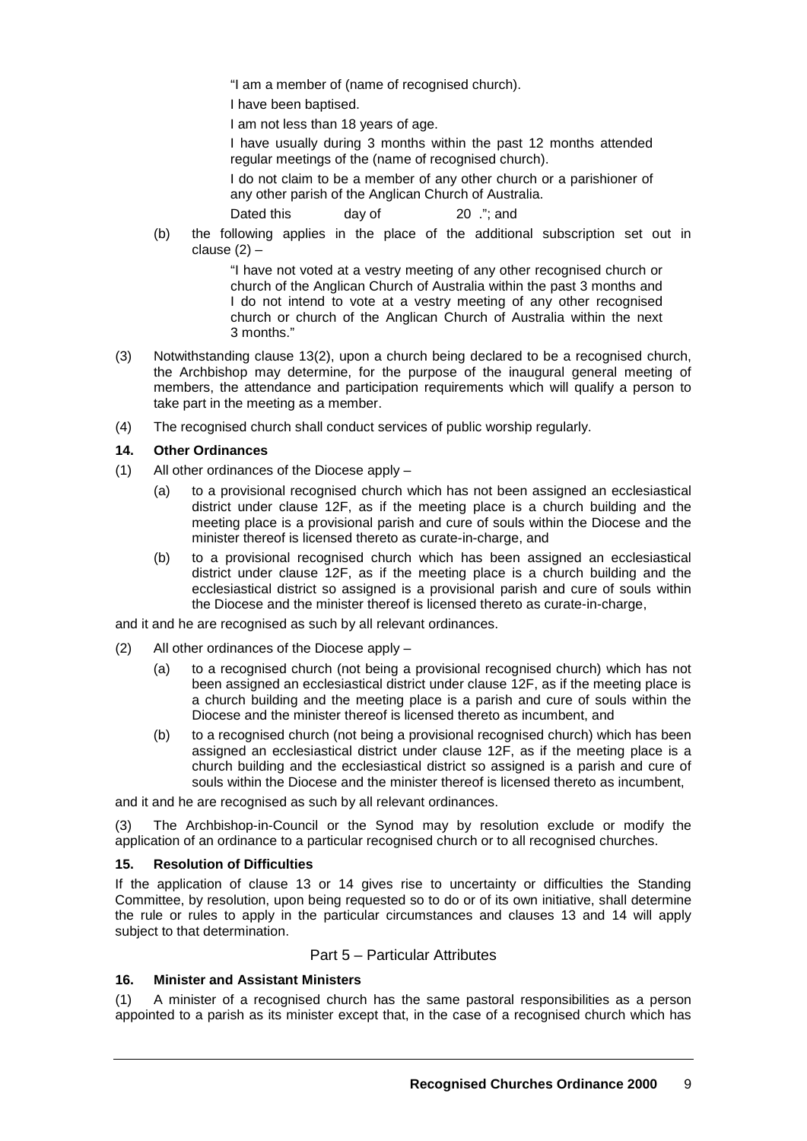"I am a member of (name of recognised church).

I have been baptised.

I am not less than 18 years of age.

I have usually during 3 months within the past 12 months attended regular meetings of the (name of recognised church).

I do not claim to be a member of any other church or a parishioner of any other parish of the Anglican Church of Australia.

Dated this day of 20 .": and

(b) the following applies in the place of the additional subscription set out in clause  $(2)$  –

> "I have not voted at a vestry meeting of any other recognised church or church of the Anglican Church of Australia within the past 3 months and I do not intend to vote at a vestry meeting of any other recognised church or church of the Anglican Church of Australia within the next 3 months."

- (3) Notwithstanding clause 13(2), upon a church being declared to be a recognised church, the Archbishop may determine, for the purpose of the inaugural general meeting of members, the attendance and participation requirements which will qualify a person to take part in the meeting as a member.
- (4) The recognised church shall conduct services of public worship regularly.

#### **14. Other Ordinances**

- (1) All other ordinances of the Diocese apply
	- (a) to a provisional recognised church which has not been assigned an ecclesiastical district under clause 12F, as if the meeting place is a church building and the meeting place is a provisional parish and cure of souls within the Diocese and the minister thereof is licensed thereto as curate-in-charge, and
	- (b) to a provisional recognised church which has been assigned an ecclesiastical district under clause 12F, as if the meeting place is a church building and the ecclesiastical district so assigned is a provisional parish and cure of souls within the Diocese and the minister thereof is licensed thereto as curate-in-charge,

and it and he are recognised as such by all relevant ordinances.

- (2) All other ordinances of the Diocese apply
	- (a) to a recognised church (not being a provisional recognised church) which has not been assigned an ecclesiastical district under clause 12F, as if the meeting place is a church building and the meeting place is a parish and cure of souls within the Diocese and the minister thereof is licensed thereto as incumbent, and
	- (b) to a recognised church (not being a provisional recognised church) which has been assigned an ecclesiastical district under clause 12F, as if the meeting place is a church building and the ecclesiastical district so assigned is a parish and cure of souls within the Diocese and the minister thereof is licensed thereto as incumbent,

and it and he are recognised as such by all relevant ordinances.

(3) The Archbishop-in-Council or the Synod may by resolution exclude or modify the application of an ordinance to a particular recognised church or to all recognised churches.

## **15. Resolution of Difficulties**

If the application of clause 13 or 14 gives rise to uncertainty or difficulties the Standing Committee, by resolution, upon being requested so to do or of its own initiative, shall determine the rule or rules to apply in the particular circumstances and clauses 13 and 14 will apply subject to that determination.

#### Part 5 – Particular Attributes

# **16. Minister and Assistant Ministers**

(1) A minister of a recognised church has the same pastoral responsibilities as a person appointed to a parish as its minister except that, in the case of a recognised church which has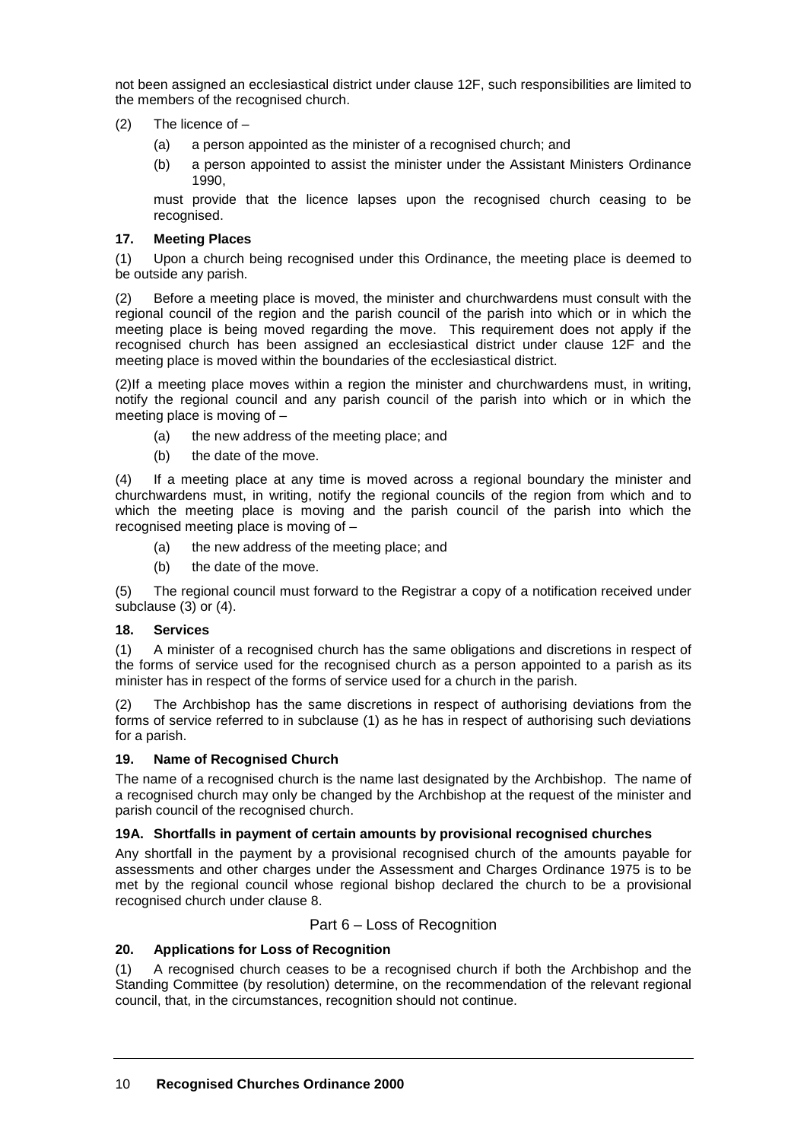not been assigned an ecclesiastical district under clause 12F, such responsibilities are limited to the members of the recognised church.

- (2) The licence of
	- (a) a person appointed as the minister of a recognised church; and
	- (b) a person appointed to assist the minister under the Assistant Ministers Ordinance 1990,

must provide that the licence lapses upon the recognised church ceasing to be recognised.

# **17. Meeting Places**

(1) Upon a church being recognised under this Ordinance, the meeting place is deemed to be outside any parish.

(2) Before a meeting place is moved, the minister and churchwardens must consult with the regional council of the region and the parish council of the parish into which or in which the meeting place is being moved regarding the move. This requirement does not apply if the recognised church has been assigned an ecclesiastical district under clause 12F and the meeting place is moved within the boundaries of the ecclesiastical district.

(2)If a meeting place moves within a region the minister and churchwardens must, in writing, notify the regional council and any parish council of the parish into which or in which the meeting place is moving of –

- (a) the new address of the meeting place; and
- (b) the date of the move.

(4) If a meeting place at any time is moved across a regional boundary the minister and churchwardens must, in writing, notify the regional councils of the region from which and to which the meeting place is moving and the parish council of the parish into which the recognised meeting place is moving of –

- (a) the new address of the meeting place; and
- (b) the date of the move.

(5) The regional council must forward to the Registrar a copy of a notification received under subclause (3) or (4).

## **18. Services**

(1) A minister of a recognised church has the same obligations and discretions in respect of the forms of service used for the recognised church as a person appointed to a parish as its minister has in respect of the forms of service used for a church in the parish.

(2) The Archbishop has the same discretions in respect of authorising deviations from the forms of service referred to in subclause (1) as he has in respect of authorising such deviations for a parish.

## **19. Name of Recognised Church**

The name of a recognised church is the name last designated by the Archbishop. The name of a recognised church may only be changed by the Archbishop at the request of the minister and parish council of the recognised church.

## **19A. Shortfalls in payment of certain amounts by provisional recognised churches**

Any shortfall in the payment by a provisional recognised church of the amounts payable for assessments and other charges under the Assessment and Charges Ordinance 1975 is to be met by the regional council whose regional bishop declared the church to be a provisional recognised church under clause 8.

## Part 6 – Loss of Recognition

## **20. Applications for Loss of Recognition**

(1) A recognised church ceases to be a recognised church if both the Archbishop and the Standing Committee (by resolution) determine, on the recommendation of the relevant regional council, that, in the circumstances, recognition should not continue.